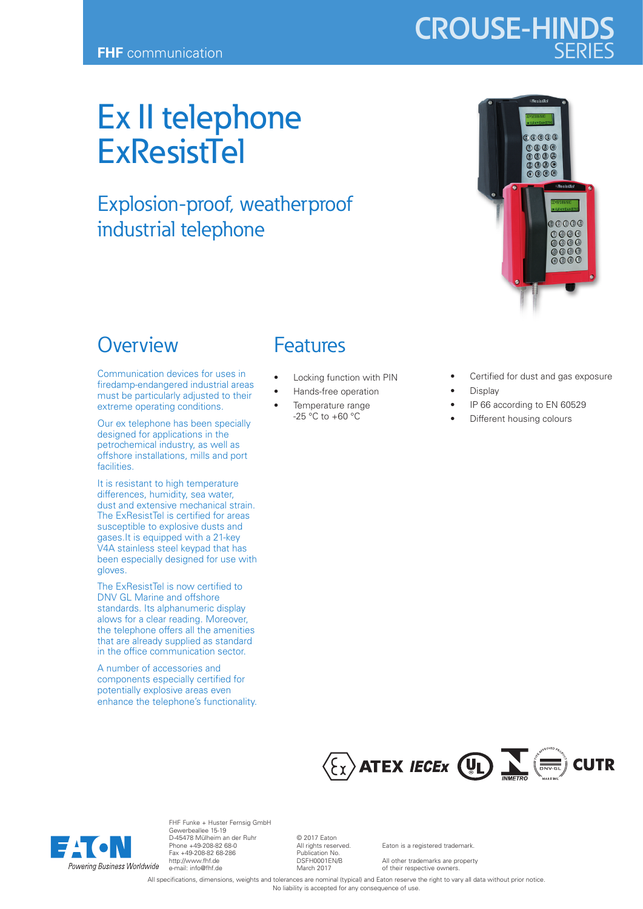# Ex II telephone **ExResistTel**

## Explosion-proof, weatherproof industrial telephone



**CROUSE-HINDS**

#### **Overview**

Communication devices for uses in firedamp-endangered industrial areas must be particularly adjusted to their extreme operating conditions.

Our ex telephone has been specially designed for applications in the petrochemical industry, as well as offshore installations, mills and port facilities.

It is resistant to high temperature differences, humidity, sea water, dust and extensive mechanical strain. The ExResistTel is certified for areas susceptible to explosive dusts and gases.It is equipped with a 21-key V4A stainless steel keypad that has been especially designed for use with gloves.

The ExResistTel is now certified to DNV GL Marine and offshore standards. Its alphanumeric display alows for a clear reading. Moreover, the telephone offers all the amenities that are already supplied as standard in the office communication sector.

A number of accessories and components especially certified for potentially explosive areas even enhance the telephone's functionality.

### Features

- Locking function with PIN
- Hands-free operation
- Temperature range -25 °C to +60 °C
- Certified for dust and gas exposure
- **Display**
- IP 66 according to EN 60529
- Different housing colours





FHF Funke + Huster Fernsig GmbH Gewerbeallee 15-19 D-45478 Mülheim an der Ruhr Phone +49-208-82 68-0 Fax +49-208-82 68-286 http://www.fhf.de e-mail: info@fhf.de

© 2017 Eaton All rights reserved. Publication No. DSFH0001EN/B March 2017

Eaton is a registered trademark.

All other trademarks are property of their respective owners.

All specifications, dimensions, weights and tolerances are nominal (typical) and Eaton reserve the right to vary all data without prior notice. No liability is accepted for any consequence of use.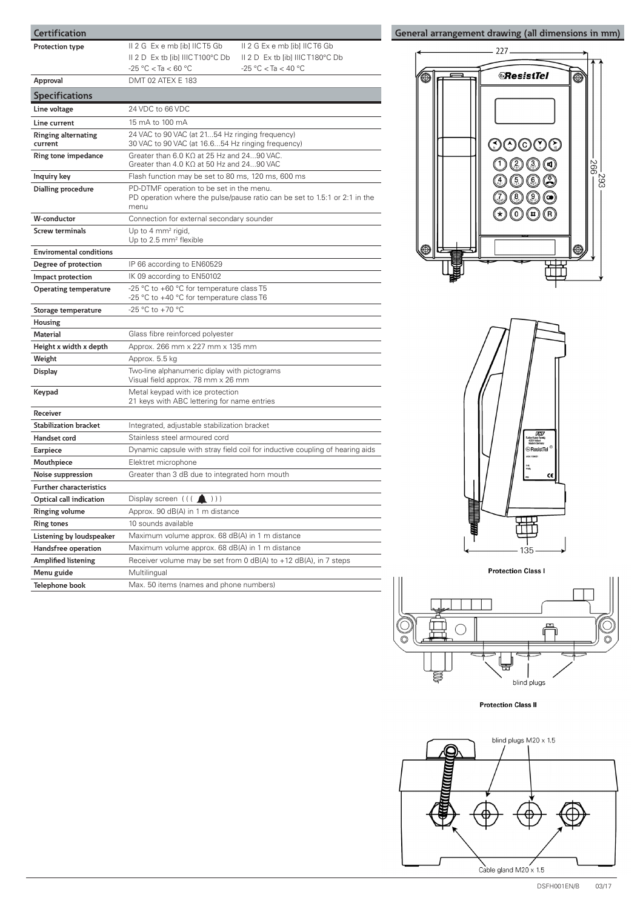| Certification                         |                                                                                                                                |                                                                              |  |
|---------------------------------------|--------------------------------------------------------------------------------------------------------------------------------|------------------------------------------------------------------------------|--|
| <b>Protection type</b>                | II 2 G Ex e mb [ib] IICT5 Gb                                                                                                   | II 2 G Ex e mb [ib] IIC T6 Gb                                                |  |
|                                       | II 2 D Ex tb [ib] IIICT100°C Db                                                                                                | II 2 D Ex tb [ib] IIIC T180°C Db                                             |  |
|                                       | $-25 °C < Ta < 60 °C$                                                                                                          | $-25 °C < Ta < 40 °C$                                                        |  |
| Approval                              | DMT 02 ATEX E 183                                                                                                              |                                                                              |  |
| <b>Specifications</b>                 |                                                                                                                                |                                                                              |  |
| Line voltage                          | 24 VDC to 66 VDC                                                                                                               |                                                                              |  |
| Line current                          | 15 mA to 100 mA                                                                                                                |                                                                              |  |
| <b>Ringing alternating</b><br>current | 24 VAC to 90 VAC (at 2154 Hz ringing frequency)<br>30 VAC to 90 VAC (at 16.654 Hz ringing frequency)                           |                                                                              |  |
| Ring tone impedance                   | Greater than 6.0 K $\Omega$ at 25 Hz and 2490 VAC.<br>Greater than 4.0 K $\Omega$ at 50 Hz and 2490 VAC                        |                                                                              |  |
| Inquiry key                           | Flash function may be set to 80 ms, 120 ms, 600 ms                                                                             |                                                                              |  |
| Dialling procedure                    | PD-DTMF operation to be set in the menu.<br>PD operation where the pulse/pause ratio can be set to 1.5:1 or 2:1 in the<br>menu |                                                                              |  |
| W-conductor                           | Connection for external secondary sounder                                                                                      |                                                                              |  |
| <b>Screw terminals</b>                | Up to 4 mm <sup>2</sup> rigid,<br>Up to 2.5 mm <sup>2</sup> flexible                                                           |                                                                              |  |
| <b>Enviromental conditions</b>        |                                                                                                                                |                                                                              |  |
| Degree of protection                  | IP 66 according to EN60529                                                                                                     |                                                                              |  |
| Impact protection                     | IK 09 according to EN50102                                                                                                     |                                                                              |  |
| <b>Operating temperature</b>          | -25 °C to +60 °C for temperature class T5<br>-25 °C to +40 °C for temperature class T6                                         |                                                                              |  |
| Storage temperature                   | -25 °C to +70 °C                                                                                                               |                                                                              |  |
| Housing                               |                                                                                                                                |                                                                              |  |
| <b>Material</b>                       | Glass fibre reinforced polyester                                                                                               |                                                                              |  |
| Height x width x depth                | Approx. 266 mm x 227 mm x 135 mm                                                                                               |                                                                              |  |
| Weight                                | Approx. 5.5 kg                                                                                                                 |                                                                              |  |
| Display                               | Two-line alphanumeric diplay with pictograms<br>Visual field approx. 78 mm x 26 mm                                             |                                                                              |  |
| Keypad                                | Metal keypad with ice protection<br>21 keys with ABC lettering for name entries                                                |                                                                              |  |
| Receiver                              |                                                                                                                                |                                                                              |  |
| <b>Stabilization bracket</b>          | Integrated, adjustable stabilization bracket                                                                                   |                                                                              |  |
| Handset cord                          | Stainless steel armoured cord                                                                                                  |                                                                              |  |
| Earpiece                              |                                                                                                                                | Dynamic capsule with stray field coil for inductive coupling of hearing aids |  |
| Mouthpiece                            | Elektret microphone                                                                                                            |                                                                              |  |
| Noise suppression                     | Greater than 3 dB due to integrated horn mouth                                                                                 |                                                                              |  |
| <b>Further characteristics</b>        |                                                                                                                                |                                                                              |  |
| <b>Optical call indication</b>        | Display screen ((((1)))                                                                                                        |                                                                              |  |
| Ringing volume                        | Approx. 90 dB(A) in 1 m distance                                                                                               |                                                                              |  |
| <b>Ring tones</b>                     | 10 sounds available                                                                                                            |                                                                              |  |
| Listening by loudspeaker              | Maximum volume approx. 68 dB(A) in 1 m distance                                                                                |                                                                              |  |
| Handsfree operation                   | Maximum volume approx. 68 dB(A) in 1 m distance                                                                                |                                                                              |  |
| <b>Amplified listening</b>            |                                                                                                                                | Receiver volume may be set from 0 $dB(A)$ to $+12$ dB(A), in 7 steps         |  |
| Menu guide                            | Multilingual                                                                                                                   |                                                                              |  |
| Telephone book                        | Max. 50 items (names and phone numbers)                                                                                        |                                                                              |  |





**Protection Class I** 



**Protection Class II**